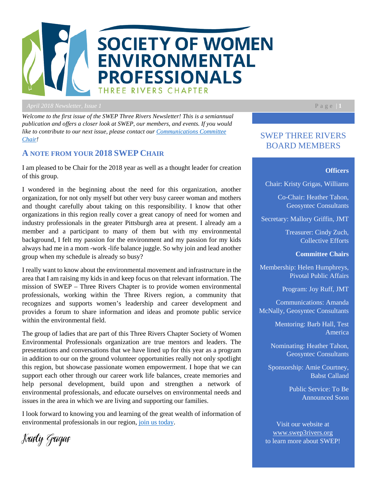

*April 2018 Newsletter, Issue 1* Page | **1**<sub>1</sub>

*Welcome to the first issue of the SWEP Three Rivers Newsletter! This is a semiannual publication and offers a closer look at SWEP, our members, and events. If you would like to contribute to our next issue, please contact our [Communications Committee](https://swep3rivers.org/page-18082)  [Chair!](https://swep3rivers.org/page-18082)* 

## **A NOTE FROM YOUR 2018 SWEP CHAIR**

I am pleased to be Chair for the 2018 year as well as a thought leader for creation of this group.

I wondered in the beginning about the need for this organization, another organization, for not only myself but other very busy career woman and mothers and thought carefully about taking on this responsibility. I know that other organizations in this region really cover a great canopy of need for women and industry professionals in the greater Pittsburgh area at present. I already am a member and a participant to many of them but with my environmental background, I felt my passion for the environment and my passion for my kids always had me in a mom -work -life balance juggle. So why join and lead another group when my schedule is already so busy?

I really want to know about the environmental movement and infrastructure in the area that I am raising my kids in and keep focus on that relevant information. The mission of SWEP – Three Rivers Chapter is to provide women environmental professionals, working within the Three Rivers region, a community that recognizes and supports women's leadership and career development and provides a forum to share information and ideas and promote public service within the environmental field.

The group of ladies that are part of this Three Rivers Chapter Society of Women Environmental Professionals organization are true mentors and leaders. The presentations and conversations that we have lined up for this year as a program in addition to our on the ground volunteer opportunities really not only spotlight this region, but showcase passionate women empowerment. I hope that we can support each other through our career work life balances, create memories and help personal development, build upon and strengthen a network of environmental professionals, and educate ourselves on environmental needs and issues in the area in which we are living and supporting our families.

I look forward to knowing you and learning of the great wealth of information of environmental professionals in our region, [join us today.](https://swep3rivers.org/join)

# SWEP THREE RIVERS BOARD MEMBERS

#### **Officers**

Chair: Kristy Grigas, Williams

Co-Chair: Heather Tahon, Geosyntec Consultants

Secretary: Mallory Griffin, JMT

Treasurer: Cindy Zuch, Collective Efforts

**Committee Chairs**

Membership: Helen Humphreys, Pivotal Public Affairs

Program: Joy Ruff, JMT

Communications: Amanda McNally, Geosyntec Consultants

> Mentoring: Barb Hall, Test America

Nominating: Heather Tahon, Geosyntec Consultants

Sponsorship: Amie Courtney, Babst Calland

> Public Service: To Be Announced Soon

Visit our website at [www.swep3rivers.org](http://www.swep3rivers.org/) to learn more about SWEP!

Kristy Grigas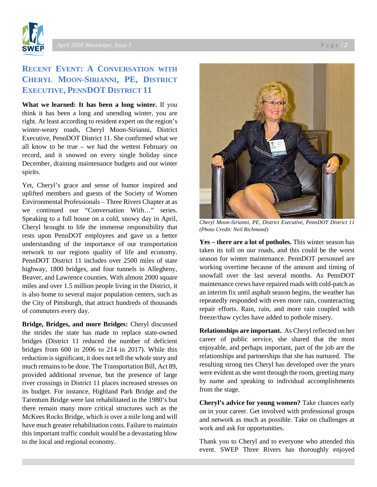

# **RECENT EVENT: A CONVERSATION WITH CHERYL MOON-SIRIANNI, PE, DISTRICT EXECUTIVE, PENNDOT DISTRICT 11**

**What we learned: It has been a long winter.** If you think it has been a long and unending winter, you are right. At least according to resident expert on the region's winter-weary roads, Cheryl Moon-Sirianni, District Executive, PennDOT District 11. She confirmed what we all know to be true – we had the wettest February on record, and it snowed on every single holiday since December, draining maintenance budgets and our winter spirits.

Yet, Cheryl's grace and sense of humor inspired and uplifted members and guests of the Society of Women Environmental Professionals – Three Rivers Chapter at as we continued our "Conversation With…" series. Speaking to a full house on a cold, snowy day in April, Cheryl brought to life the immense responsibility that rests upon PennDOT employees and gave us a better understanding of the importance of our transportation network to our regions quality of life and economy. PennDOT District 11 includes over 2500 miles of state highway, 1800 bridges, and four tunnels in Allegheny, Beaver, and Lawrence counties. With almost 2000 square miles and over 1.5 million people living in the District, it is also home to several major population centers, such as the City of Pittsburgh, that attract hundreds of thousands of commuters every day.

**Bridge, Bridges, and more Bridges:** Cheryl discussed the strides the state has made to replace state-owned bridges (District 11 reduced the number of deficient bridges from 600 in 2006 to 214 in 2017). While this reduction is significant, it does not tell the whole story and much remains to be done. The Transportation Bill, Act 89, provided additional revenue, but the presence of large river crossings in District 11 places increased stresses on its budget. For instance, Highland Park Bridge and the Tarentum Bridge were last rehabilitated in the 1980's but there remain many more critical structures such as the McKees Rocks Bridge, which is over a mile long and will have much greater rehabilitation costs. Failure to maintain this important traffic conduit would be a devastating blow to the local and regional economy.



*Cheryl Moon-Sirianni, PE, District Executive, PennDOT District 11 (Photo Credit: Neil Richmond)*

**Yes – there are a lot of potholes.** This winter season has taken its toll on our roads, and this could be the worst season for winter maintenance. PennDOT personnel are working overtime because of the amount and timing of snowfall over the last several months. As PennDOT maintenance crews have repaired roads with cold-patch as an interim fix until asphalt season begins, the weather has repeatedly responded with even more rain, counteracting repair efforts. Rain, rain, and more rain coupled with freeze/thaw cycles have added to pothole misery.

**Relationships are important.** As Cheryl reflected on her career of public service, she shared that the most enjoyable, and perhaps important, part of the job are the relationships and partnerships that she has nurtured. The resulting strong ties Cheryl has developed over the years were evident as she went through the room, greeting many by name and speaking to individual accomplishments from the stage.

**Cheryl's advice for young women?** Take chances early on in your career. Get involved with professional groups and network as much as possible. Take on challenges at work and ask for opportunities.

Thank you to Cheryl and to everyone who attended this event. SWEP Three Rivers has thoroughly enjoyed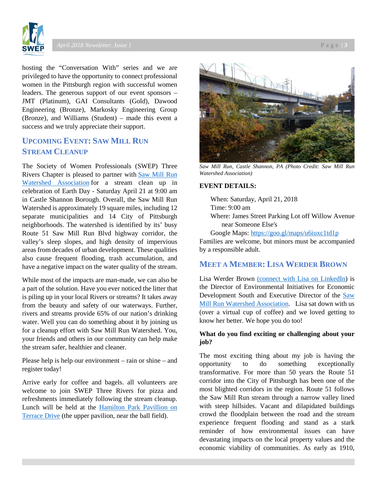

hosting the "Conversation With" series and we are privileged to have the opportunity to connect professional women in the Pittsburgh region with successful women leaders. The generous support of our event sponsors – JMT (Platinum), GAI Consultants (Gold), Dawood Engineering (Bronze), Markosky Engineering Group (Bronze), and Williams (Student) – made this event a success and we truly appreciate their support.

# **UPCOMING EVENT: SAW MILL RUN STREAM CLEANUP**

The Society of Women Professionals (SWEP) Three Rivers Chapter is pleased to partner with [Saw Mill Run](https://www.facebook.com/sawmillrunwatershed/)  [Watershed Association](https://www.facebook.com/sawmillrunwatershed/) for a stream clean up in celebration of Earth Day - Saturday April 21 at 9:00 am in Castle Shannon Borough. Overall, the Saw Mill Run Watershed is approximately 19 square miles, including 12 separate municipalities and 14 City of Pittsburgh neighborhoods. The watershed is identified by its' busy Route 51 Saw Mill Run Blvd highway corridor, the valley's sleep slopes, and high density of impervious areas from decades of urban development. These qualities also cause frequent flooding, trash accumulation, and have a negative impact on the water quality of the stream.

While most of the impacts are man-made, we can also be a part of the solution. Have you ever noticed the litter that is piling up in your local Rivers or streams? It takes away from the beauty and safety of our waterways. Further, rivers and streams provide 65% of our nation's drinking water. Well you can do something about it by joining us for a cleanup effort with Saw Mill Run Watershed. You, your friends and others in our community can help make the stream safer, healthier and cleaner.

Please help is help our environment – rain or shine – and register today!

Arrive early for coffee and bagels. all volunteers are welcome to join SWEP Three Rivers for pizza and refreshments immediately following the stream cleanup. Lunch will be held at the [Hamilton Park Pavillion on](https://na01.safelinks.protection.outlook.com/?url=https%3A%2F%2Fgoo.gl%2Fmaps%2F3yPNzP2zbcH2&data=02%7C01%7Camcnally%40geosyntec.com%7C71ef8ed66dcc44d157c408d5a5fc66ce%7C7125495671b047f48977c4c17bc205cb%7C1%7C1%7C636597425859713806&sdata=J3aqNA0RZ8vkJx8TZR%2BuQnbVqW6yristOAyAJiEqCkQ%3D&reserved=0)  [Terrace Drive](https://na01.safelinks.protection.outlook.com/?url=https%3A%2F%2Fgoo.gl%2Fmaps%2F3yPNzP2zbcH2&data=02%7C01%7Camcnally%40geosyntec.com%7C71ef8ed66dcc44d157c408d5a5fc66ce%7C7125495671b047f48977c4c17bc205cb%7C1%7C1%7C636597425859713806&sdata=J3aqNA0RZ8vkJx8TZR%2BuQnbVqW6yristOAyAJiEqCkQ%3D&reserved=0) (the upper pavilion, near the ball field).



*Saw Mill Run, Castle Shannon, PA (Photo Credit: Saw Mill Run Watershed Association)*

#### **EVENT DETAILS:**

When: Saturday, April 21, 2018 Time: 9:00 am

Where: James Street Parking Lot off Willow Avenue near Someone Else's

Google Maps: <https://goo.gl/maps/u6iuxc1td1p>

Families are welcome, but minors must be accompanied by a responsible adult.

## **MEET A MEMBER: LISA WERDER BROWN**

Lisa Werder Brown [\(connect with Lisa on LinkedIn\)](https://na01.safelinks.protection.outlook.com/?url=https%3A%2F%2Fwww.linkedin.com%2Fin%2Flisa-brown-9a41796%2F&data=02%7C01%7CAMcNally%40Geosyntec.com%7Cfa6da79fadeb485ef6f408d59e1d708e%7C7125495671b047f48977c4c17bc205cb%7C1%7C0%7C636588771677665735&sdata=yyALqAXGy4owtdmKinUQLfvHmRiBsj5v%2BDUcHSf76cE%3D&reserved=0) is the Director of Environmental Initiatives for Economic Development South and Executive Director of the [Saw](https://na01.safelinks.protection.outlook.com/?url=https%3A%2F%2Fwww.facebook.com%2Fsawmillrunwatershed%2F&data=02%7C01%7CAMcNally%40Geosyntec.com%7Cfa6da79fadeb485ef6f408d59e1d708e%7C7125495671b047f48977c4c17bc205cb%7C1%7C0%7C636588771677665735&sdata=LMp94SCcSQPFpapZuZrWkyF24YT2DZ9iJtSiCaQJr3k%3D&reserved=0)  [Mill Run Watershed Association.](https://na01.safelinks.protection.outlook.com/?url=https%3A%2F%2Fwww.facebook.com%2Fsawmillrunwatershed%2F&data=02%7C01%7CAMcNally%40Geosyntec.com%7Cfa6da79fadeb485ef6f408d59e1d708e%7C7125495671b047f48977c4c17bc205cb%7C1%7C0%7C636588771677665735&sdata=LMp94SCcSQPFpapZuZrWkyF24YT2DZ9iJtSiCaQJr3k%3D&reserved=0) Lisa sat down with us (over a virtual cup of coffee) and we loved getting to know her better. We hope you do too!

### **What do you find exciting or challenging about your job?**

The most exciting thing about my job is having the opportunity to do something exceptionally transformative. For more than 50 years the Route 51 corridor into the City of Pittsburgh has been one of the most blighted corridors in the region. Route 51 follows the Saw Mill Run stream through a narrow valley lined with steep hillsides. Vacant and dilapidated buildings crowd the floodplain between the road and the stream experience frequent flooding and stand as a stark reminder of how environmental issues can have devastating impacts on the local property values and the economic viability of communities. As early as 1910,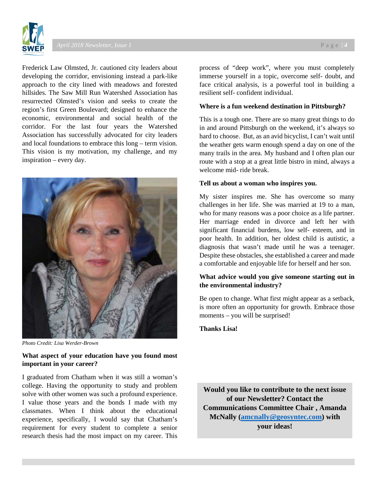

Frederick Law Olmsted, Jr. cautioned city leaders about developing the corridor, envisioning instead a park-like approach to the city lined with meadows and forested hillsides. The Saw Mill Run Watershed Association has resurrected Olmsted's vision and seeks to create the region's first Green Boulevard; designed to enhance the economic, environmental and social health of the corridor. For the last four years the Watershed Association has successfully advocated for city leaders and local foundations to embrace this long – term vision. This vision is my motivation, my challenge, and my inspiration – every day.



*Photo Credit: Lisa Werder-Brown*

### **What aspect of your education have you found most important in your career?**

I graduated from Chatham when it was still a woman's college. Having the opportunity to study and problem solve with other women was such a profound experience. I value those years and the bonds I made with my classmates. When I think about the educational experience, specifically, I would say that Chatham's requirement for every student to complete a senior research thesis had the most impact on my career. This

process of "deep work", where you must completely immerse yourself in a topic, overcome self- doubt, and face critical analysis, is a powerful tool in building a resilient self- confident individual.

#### **Where is a fun weekend destination in Pittsburgh?**

This is a tough one. There are so many great things to do in and around Pittsburgh on the weekend, it's always so hard to choose. But, as an avid bicyclist, I can't wait until the weather gets warm enough spend a day on one of the many trails in the area. My husband and I often plan our route with a stop at a great little bistro in mind, always a welcome mid- ride break.

#### **Tell us about a woman who inspires you.**

My sister inspires me. She has overcome so many challenges in her life. She was married at 19 to a man, who for many reasons was a poor choice as a life partner. Her marriage ended in divorce and left her with significant financial burdens, low self- esteem, and in poor health. In addition, her oldest child is autistic, a diagnosis that wasn't made until he was a teenager. Despite these obstacles, she established a career and made a comfortable and enjoyable life for herself and her son.

## **What advice would you give someone starting out in the environmental industry?**

Be open to change. What first might appear as a setback, is more often an opportunity for growth. Embrace those moments – you will be surprised!

**Thanks Lisa!**

**Would you like to contribute to the next issue of our Newsletter? Contact the Communications Committee Chair , Amanda McNally [\(amcnally@geosyntec.com\)](mailto:amcnally@geosyntec.com) with your ideas!**